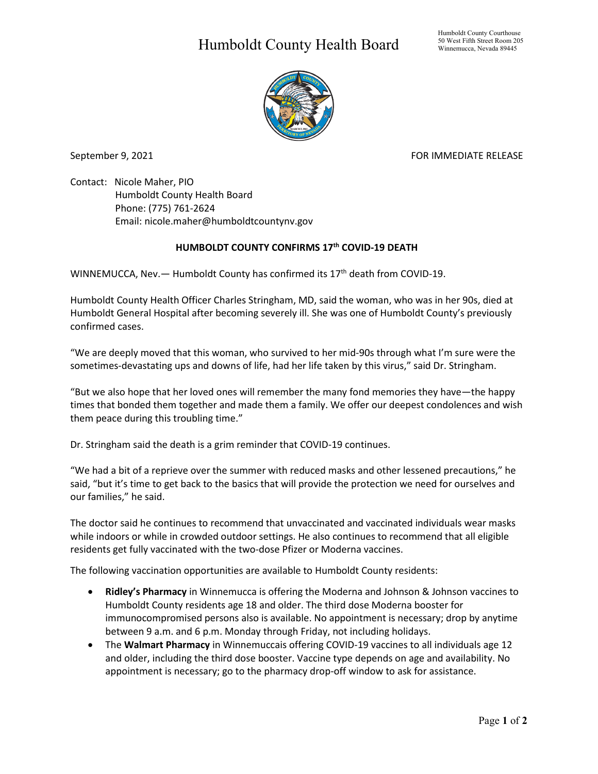## Humboldt County Health Board



September 9, 2021 **FOR IMMEDIATE RELEASE** 

Contact: Nicole Maher, PIO Humboldt County Health Board Phone: (775) 761-2624 Email: nicole.maher@humboldtcountynv.gov

## **HUMBOLDT COUNTY CONFIRMS 17th COVID-19 DEATH**

WINNEMUCCA, Nev. - Humboldt County has confirmed its 17<sup>th</sup> death from COVID-19.

Humboldt County Health Officer Charles Stringham, MD, said the woman, who was in her 90s, died at Humboldt General Hospital after becoming severely ill. She was one of Humboldt County's previously confirmed cases.

"We are deeply moved that this woman, who survived to her mid-90s through what I'm sure were the sometimes-devastating ups and downs of life, had her life taken by this virus," said Dr. Stringham.

"But we also hope that her loved ones will remember the many fond memories they have—the happy times that bonded them together and made them a family. We offer our deepest condolences and wish them peace during this troubling time."

Dr. Stringham said the death is a grim reminder that COVID-19 continues.

"We had a bit of a reprieve over the summer with reduced masks and other lessened precautions," he said, "but it's time to get back to the basics that will provide the protection we need for ourselves and our families," he said.

The doctor said he continues to recommend that unvaccinated and vaccinated individuals wear masks while indoors or while in crowded outdoor settings. He also continues to recommend that all eligible residents get fully vaccinated with the two-dose Pfizer or Moderna vaccines.

The following vaccination opportunities are available to Humboldt County residents:

- **Ridley's Pharmacy** in Winnemucca is offering the Moderna and Johnson & Johnson vaccines to Humboldt County residents age 18 and older. The third dose Moderna booster for immunocompromised persons also is available. No appointment is necessary; drop by anytime between 9 a.m. and 6 p.m. Monday through Friday, not including holidays.
- The **Walmart Pharmacy** in Winnemuccais offering COVID-19 vaccines to all individuals age 12 and older, including the third dose booster. Vaccine type depends on age and availability. No appointment is necessary; go to the pharmacy drop-off window to ask for assistance.